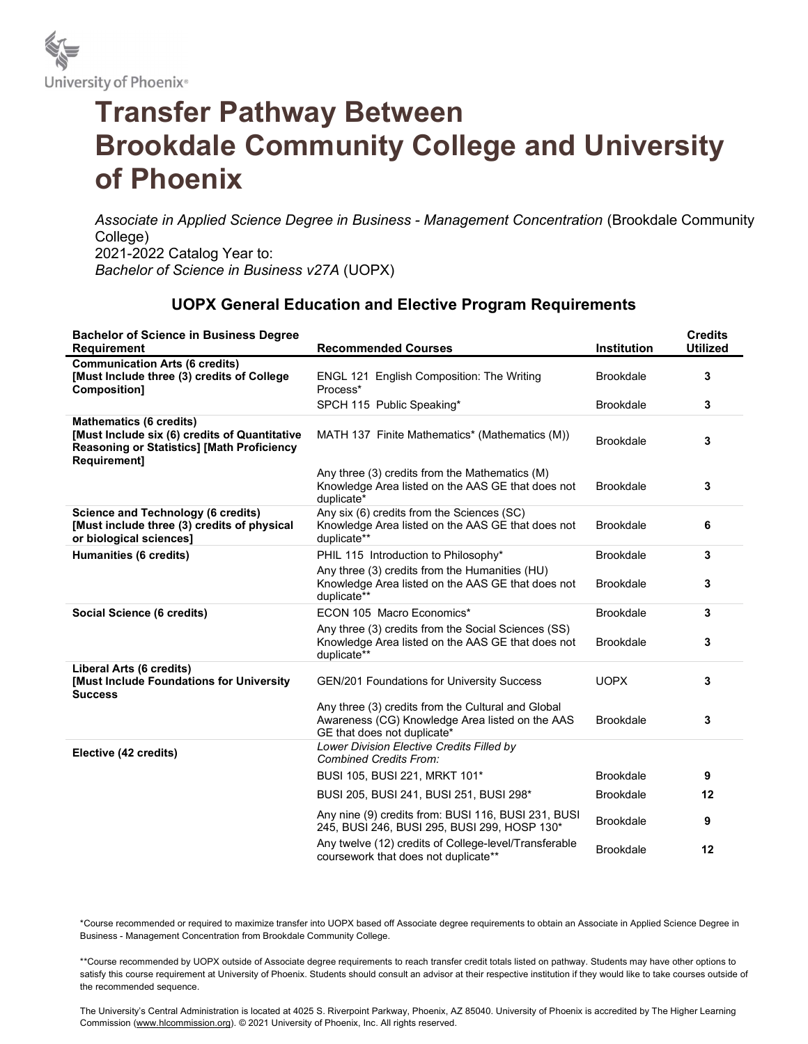

## Transfer Pathway Between Brookdale Community College and University of Phoenix

Associate in Applied Science Degree in Business - Management Concentration (Brookdale Community College) 2021-2022 Catalog Year to: Bachelor of Science in Business v27A (UOPX)

## UOPX General Education and Elective Program Requirements

| <b>Bachelor of Science in Business Degree</b><br><b>Requirement</b>                                                                                  | <b>Recommended Courses</b>                                                                                                           | <b>Institution</b> | <b>Credits</b><br><b>Utilized</b> |
|------------------------------------------------------------------------------------------------------------------------------------------------------|--------------------------------------------------------------------------------------------------------------------------------------|--------------------|-----------------------------------|
| <b>Communication Arts (6 credits)</b><br>[Must Include three (3) credits of College<br>Composition]                                                  | ENGL 121 English Composition: The Writing<br>Process*                                                                                | <b>Brookdale</b>   | 3                                 |
|                                                                                                                                                      | SPCH 115 Public Speaking*                                                                                                            | <b>Brookdale</b>   | 3                                 |
| <b>Mathematics (6 credits)</b><br>[Must Include six (6) credits of Quantitative<br><b>Reasoning or Statistics] [Math Proficiency</b><br>Requirement] | MATH 137 Finite Mathematics* (Mathematics (M))                                                                                       | <b>Brookdale</b>   | 3                                 |
|                                                                                                                                                      | Any three (3) credits from the Mathematics (M)<br>Knowledge Area listed on the AAS GE that does not<br>duplicate*                    | <b>Brookdale</b>   | 3                                 |
| <b>Science and Technology (6 credits)</b><br>[Must include three (3) credits of physical<br>or biological sciences]                                  | Any six (6) credits from the Sciences (SC)<br>Knowledge Area listed on the AAS GE that does not<br>duplicate**                       | <b>Brookdale</b>   | 6                                 |
| Humanities (6 credits)                                                                                                                               | PHIL 115 Introduction to Philosophy*                                                                                                 | <b>Brookdale</b>   | 3                                 |
|                                                                                                                                                      | Any three (3) credits from the Humanities (HU)<br>Knowledge Area listed on the AAS GE that does not<br>duplicate**                   | <b>Brookdale</b>   | 3                                 |
| Social Science (6 credits)                                                                                                                           | ECON 105 Macro Economics*                                                                                                            | <b>Brookdale</b>   | 3                                 |
|                                                                                                                                                      | Any three (3) credits from the Social Sciences (SS)<br>Knowledge Area listed on the AAS GE that does not<br>duplicate**              | Brookdale          | 3                                 |
| Liberal Arts (6 credits)<br>[Must Include Foundations for University<br><b>Success</b>                                                               | <b>GEN/201 Foundations for University Success</b>                                                                                    | <b>UOPX</b>        | 3                                 |
|                                                                                                                                                      | Any three (3) credits from the Cultural and Global<br>Awareness (CG) Knowledge Area listed on the AAS<br>GE that does not duplicate* | <b>Brookdale</b>   | 3                                 |
| Elective (42 credits)                                                                                                                                | Lower Division Elective Credits Filled by<br><b>Combined Credits From:</b>                                                           |                    |                                   |
|                                                                                                                                                      | BUSI 105, BUSI 221, MRKT 101*                                                                                                        | <b>Brookdale</b>   | 9                                 |
|                                                                                                                                                      | BUSI 205, BUSI 241, BUSI 251, BUSI 298*                                                                                              | <b>Brookdale</b>   | 12                                |
|                                                                                                                                                      | Any nine (9) credits from: BUSI 116, BUSI 231, BUSI<br>245, BUSI 246, BUSI 295, BUSI 299, HOSP 130*                                  | <b>Brookdale</b>   | 9                                 |
|                                                                                                                                                      | Any twelve (12) credits of College-level/Transferable<br>coursework that does not duplicate**                                        | <b>Brookdale</b>   | 12                                |

\*Course recommended or required to maximize transfer into UOPX based off Associate degree requirements to obtain an Associate in Applied Science Degree in Business - Management Concentration from Brookdale Community College.

\*\*Course recommended by UOPX outside of Associate degree requirements to reach transfer credit totals listed on pathway. Students may have other options to satisfy this course requirement at University of Phoenix. Students should consult an advisor at their respective institution if they would like to take courses outside of the recommended sequence.

The University's Central Administration is located at 4025 S. Riverpoint Parkway, Phoenix, AZ 85040. University of Phoenix is accredited by The Higher Learning Commission (www.hlcommission.org). © 2021 University of Phoenix, Inc. All rights reserved.